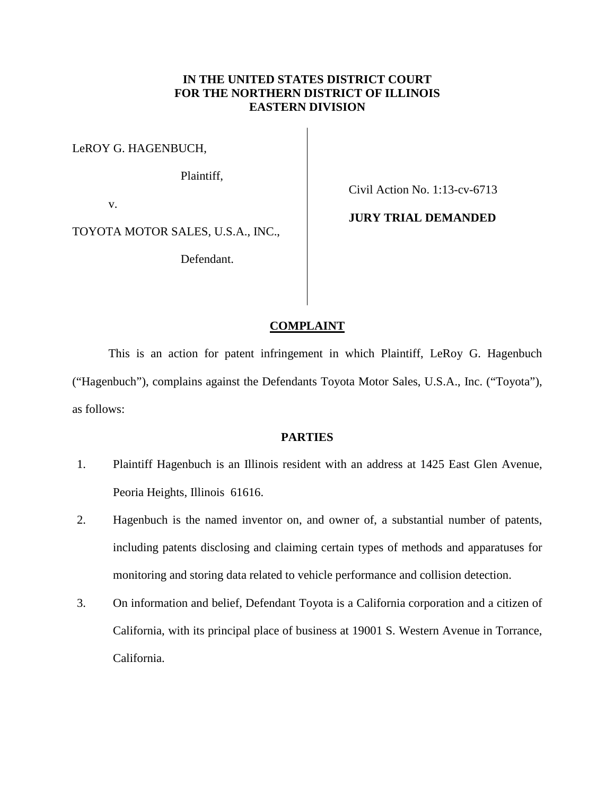# **IN THE UNITED STATES DISTRICT COURT FOR THE NORTHERN DISTRICT OF ILLINOIS EASTERN DIVISION**

LeROY G. HAGENBUCH,

Plaintiff,

v.

TOYOTA MOTOR SALES, U.S.A., INC.,

Defendant.

Civil Action No. 1:13-cv-6713

**JURY TRIAL DEMANDED** 

### **COMPLAINT**

This is an action for patent infringement in which Plaintiff, LeRoy G. Hagenbuch ("Hagenbuch"), complains against the Defendants Toyota Motor Sales, U.S.A., Inc. ("Toyota"), as follows:

## **PARTIES**

- 1. Plaintiff Hagenbuch is an Illinois resident with an address at 1425 East Glen Avenue, Peoria Heights, Illinois 61616.
- 2. Hagenbuch is the named inventor on, and owner of, a substantial number of patents, including patents disclosing and claiming certain types of methods and apparatuses for monitoring and storing data related to vehicle performance and collision detection.
- 3. On information and belief, Defendant Toyota is a California corporation and a citizen of California, with its principal place of business at 19001 S. Western Avenue in Torrance, California.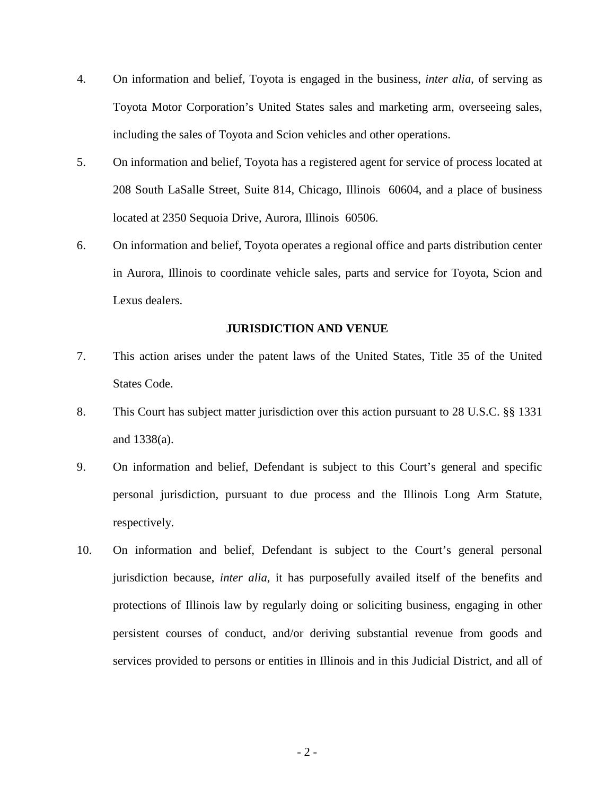- 4. On information and belief, Toyota is engaged in the business, *inter alia*, of serving as Toyota Motor Corporation's United States sales and marketing arm, overseeing sales, including the sales of Toyota and Scion vehicles and other operations.
- 5. On information and belief, Toyota has a registered agent for service of process located at 208 South LaSalle Street, Suite 814, Chicago, Illinois 60604, and a place of business located at 2350 Sequoia Drive, Aurora, Illinois 60506.
- 6. On information and belief, Toyota operates a regional office and parts distribution center in Aurora, Illinois to coordinate vehicle sales, parts and service for Toyota, Scion and Lexus dealers.

#### **JURISDICTION AND VENUE**

- 7. This action arises under the patent laws of the United States, Title 35 of the United States Code.
- 8. This Court has subject matter jurisdiction over this action pursuant to 28 U.S.C. §§ 1331 and 1338(a).
- 9. On information and belief, Defendant is subject to this Court's general and specific personal jurisdiction, pursuant to due process and the Illinois Long Arm Statute, respectively.
- 10. On information and belief, Defendant is subject to the Court's general personal jurisdiction because, *inter alia*, it has purposefully availed itself of the benefits and protections of Illinois law by regularly doing or soliciting business, engaging in other persistent courses of conduct, and/or deriving substantial revenue from goods and services provided to persons or entities in Illinois and in this Judicial District, and all of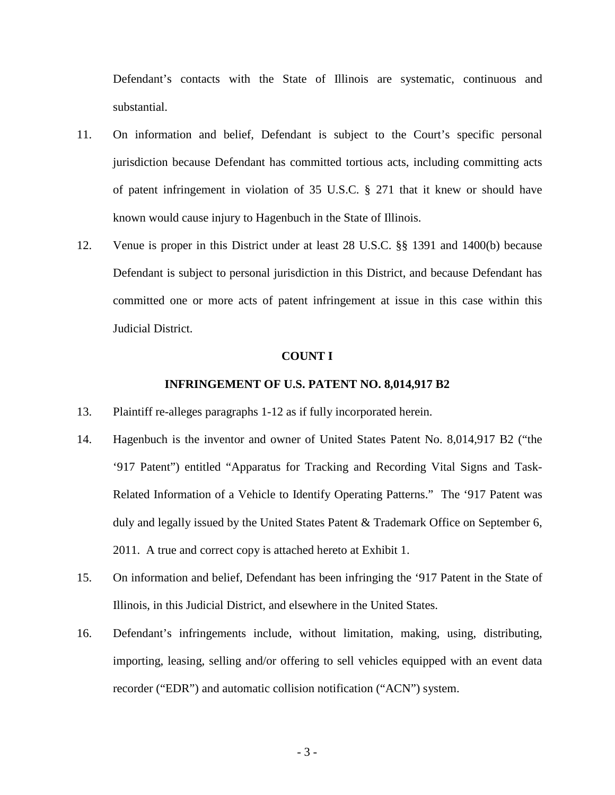Defendant's contacts with the State of Illinois are systematic, continuous and substantial.

- 11. On information and belief, Defendant is subject to the Court's specific personal jurisdiction because Defendant has committed tortious acts, including committing acts of patent infringement in violation of 35 U.S.C. § 271 that it knew or should have known would cause injury to Hagenbuch in the State of Illinois.
- 12. Venue is proper in this District under at least 28 U.S.C. §§ 1391 and 1400(b) because Defendant is subject to personal jurisdiction in this District, and because Defendant has committed one or more acts of patent infringement at issue in this case within this Judicial District.

#### **COUNT I**

#### **INFRINGEMENT OF U.S. PATENT NO. 8,014,917 B2**

- 13. Plaintiff re-alleges paragraphs 1-12 as if fully incorporated herein.
- 14. Hagenbuch is the inventor and owner of United States Patent No. 8,014,917 B2 ("the '917 Patent") entitled "Apparatus for Tracking and Recording Vital Signs and Task-Related Information of a Vehicle to Identify Operating Patterns." The '917 Patent was duly and legally issued by the United States Patent & Trademark Office on September 6, 2011. A true and correct copy is attached hereto at Exhibit 1.
- 15. On information and belief, Defendant has been infringing the '917 Patent in the State of Illinois, in this Judicial District, and elsewhere in the United States.
- 16. Defendant's infringements include, without limitation, making, using, distributing, importing, leasing, selling and/or offering to sell vehicles equipped with an event data recorder ("EDR") and automatic collision notification ("ACN") system.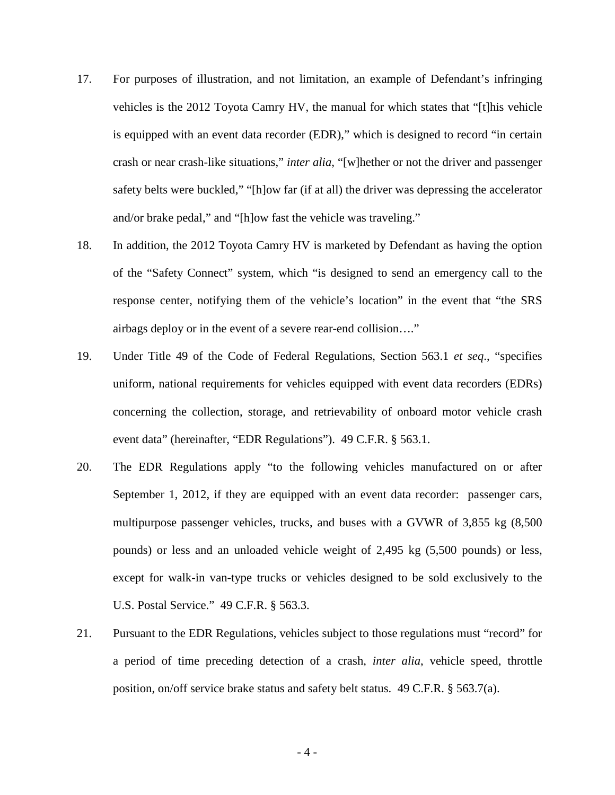- 17. For purposes of illustration, and not limitation, an example of Defendant's infringing vehicles is the 2012 Toyota Camry HV, the manual for which states that "[t]his vehicle is equipped with an event data recorder (EDR)," which is designed to record "in certain crash or near crash-like situations," *inter alia*, "[w]hether or not the driver and passenger safety belts were buckled," "[h]ow far (if at all) the driver was depressing the accelerator and/or brake pedal," and "[h]ow fast the vehicle was traveling."
- 18. In addition, the 2012 Toyota Camry HV is marketed by Defendant as having the option of the "Safety Connect" system, which "is designed to send an emergency call to the response center, notifying them of the vehicle's location" in the event that "the SRS airbags deploy or in the event of a severe rear-end collision…."
- 19. Under Title 49 of the Code of Federal Regulations, Section 563.1 *et seq*., "specifies uniform, national requirements for vehicles equipped with event data recorders (EDRs) concerning the collection, storage, and retrievability of onboard motor vehicle crash event data" (hereinafter, "EDR Regulations"). 49 C.F.R. § 563.1.
- 20. The EDR Regulations apply "to the following vehicles manufactured on or after September 1, 2012, if they are equipped with an event data recorder: passenger cars, multipurpose passenger vehicles, trucks, and buses with a GVWR of 3,855 kg (8,500 pounds) or less and an unloaded vehicle weight of 2,495 kg (5,500 pounds) or less, except for walk-in van-type trucks or vehicles designed to be sold exclusively to the U.S. Postal Service." 49 C.F.R. § 563.3.
- 21. Pursuant to the EDR Regulations, vehicles subject to those regulations must "record" for a period of time preceding detection of a crash, *inter alia*, vehicle speed, throttle position, on/off service brake status and safety belt status. 49 C.F.R. § 563.7(a).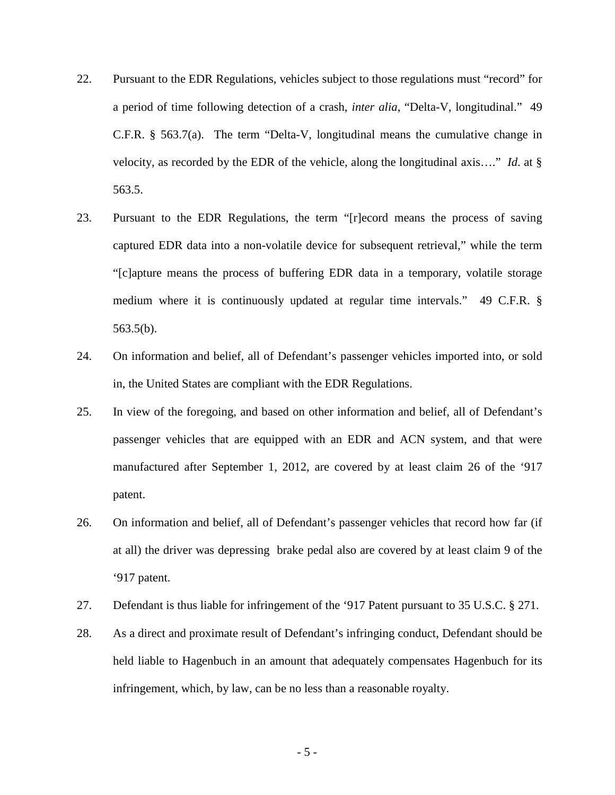- 22. Pursuant to the EDR Regulations, vehicles subject to those regulations must "record" for a period of time following detection of a crash, *inter alia*, "Delta-V, longitudinal." 49 C.F.R. § 563.7(a). The term "Delta-V, longitudinal means the cumulative change in velocity, as recorded by the EDR of the vehicle, along the longitudinal axis…." *Id*. at § 563.5.
- 23. Pursuant to the EDR Regulations, the term "[r]ecord means the process of saving captured EDR data into a non-volatile device for subsequent retrieval," while the term "[c]apture means the process of buffering EDR data in a temporary, volatile storage medium where it is continuously updated at regular time intervals." 49 C.F.R. § 563.5(b).
- 24. On information and belief, all of Defendant's passenger vehicles imported into, or sold in, the United States are compliant with the EDR Regulations.
- 25. In view of the foregoing, and based on other information and belief, all of Defendant's passenger vehicles that are equipped with an EDR and ACN system, and that were manufactured after September 1, 2012, are covered by at least claim 26 of the '917 patent.
- 26. On information and belief, all of Defendant's passenger vehicles that record how far (if at all) the driver was depressing brake pedal also are covered by at least claim 9 of the '917 patent.
- 27. Defendant is thus liable for infringement of the '917 Patent pursuant to 35 U.S.C. § 271.
- 28. As a direct and proximate result of Defendant's infringing conduct, Defendant should be held liable to Hagenbuch in an amount that adequately compensates Hagenbuch for its infringement, which, by law, can be no less than a reasonable royalty.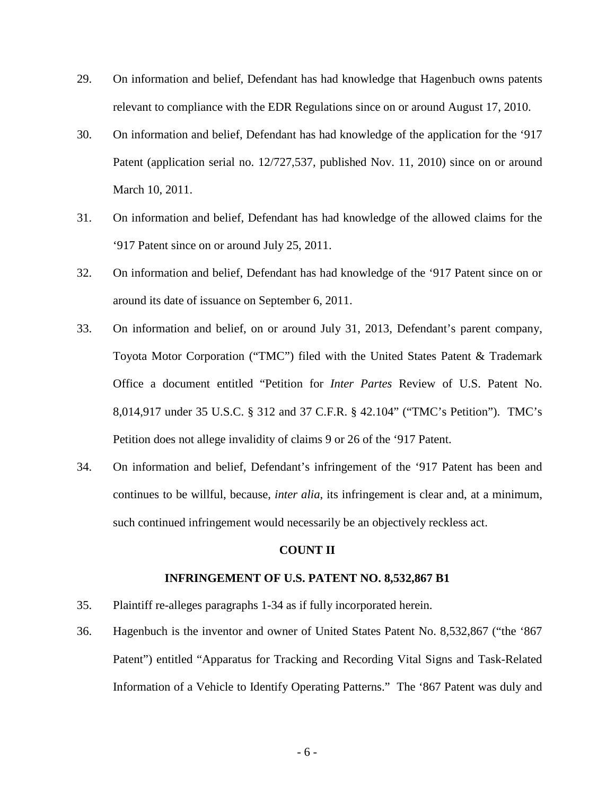- 29. On information and belief, Defendant has had knowledge that Hagenbuch owns patents relevant to compliance with the EDR Regulations since on or around August 17, 2010.
- 30. On information and belief, Defendant has had knowledge of the application for the '917 Patent (application serial no. 12/727,537, published Nov. 11, 2010) since on or around March 10, 2011.
- 31. On information and belief, Defendant has had knowledge of the allowed claims for the '917 Patent since on or around July 25, 2011.
- 32. On information and belief, Defendant has had knowledge of the '917 Patent since on or around its date of issuance on September 6, 2011.
- 33. On information and belief, on or around July 31, 2013, Defendant's parent company, Toyota Motor Corporation ("TMC") filed with the United States Patent & Trademark Office a document entitled "Petition for *Inter Partes* Review of U.S. Patent No. 8,014,917 under 35 U.S.C. § 312 and 37 C.F.R. § 42.104" ("TMC's Petition"). TMC's Petition does not allege invalidity of claims 9 or 26 of the '917 Patent.
- 34. On information and belief, Defendant's infringement of the '917 Patent has been and continues to be willful, because, *inter alia*, its infringement is clear and, at a minimum, such continued infringement would necessarily be an objectively reckless act.

### **COUNT II**

### **INFRINGEMENT OF U.S. PATENT NO. 8,532,867 B1**

- 35. Plaintiff re-alleges paragraphs 1-34 as if fully incorporated herein.
- 36. Hagenbuch is the inventor and owner of United States Patent No. 8,532,867 ("the '867 Patent") entitled "Apparatus for Tracking and Recording Vital Signs and Task-Related Information of a Vehicle to Identify Operating Patterns." The '867 Patent was duly and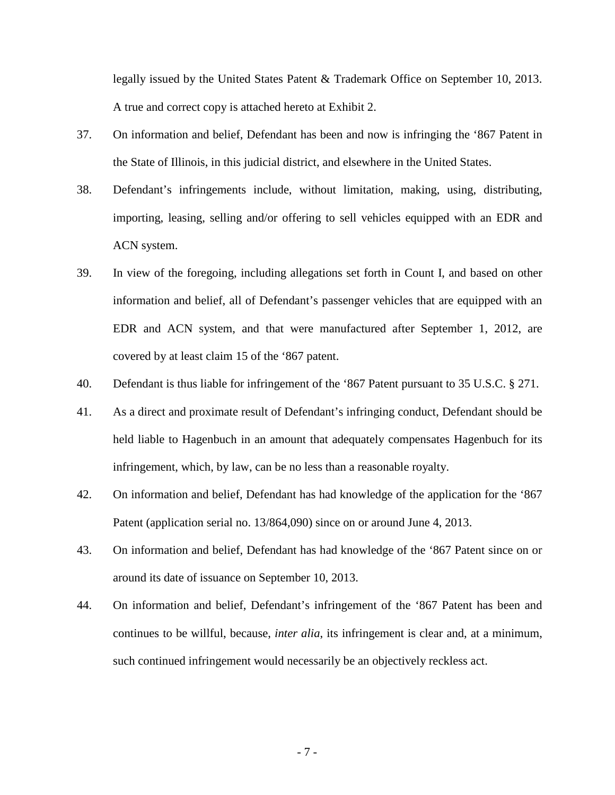legally issued by the United States Patent & Trademark Office on September 10, 2013. A true and correct copy is attached hereto at Exhibit 2.

- 37. On information and belief, Defendant has been and now is infringing the '867 Patent in the State of Illinois, in this judicial district, and elsewhere in the United States.
- 38. Defendant's infringements include, without limitation, making, using, distributing, importing, leasing, selling and/or offering to sell vehicles equipped with an EDR and ACN system.
- 39. In view of the foregoing, including allegations set forth in Count I, and based on other information and belief, all of Defendant's passenger vehicles that are equipped with an EDR and ACN system, and that were manufactured after September 1, 2012, are covered by at least claim 15 of the '867 patent.
- 40. Defendant is thus liable for infringement of the '867 Patent pursuant to 35 U.S.C. § 271.
- 41. As a direct and proximate result of Defendant's infringing conduct, Defendant should be held liable to Hagenbuch in an amount that adequately compensates Hagenbuch for its infringement, which, by law, can be no less than a reasonable royalty.
- 42. On information and belief, Defendant has had knowledge of the application for the '867 Patent (application serial no. 13/864,090) since on or around June 4, 2013.
- 43. On information and belief, Defendant has had knowledge of the '867 Patent since on or around its date of issuance on September 10, 2013.
- 44. On information and belief, Defendant's infringement of the '867 Patent has been and continues to be willful, because, *inter alia*, its infringement is clear and, at a minimum, such continued infringement would necessarily be an objectively reckless act.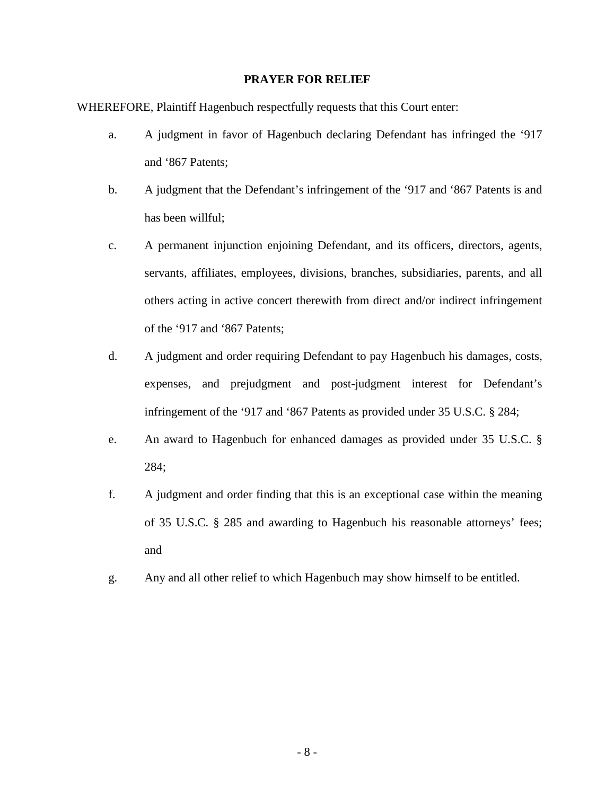## **PRAYER FOR RELIEF**

WHEREFORE, Plaintiff Hagenbuch respectfully requests that this Court enter:

- a. A judgment in favor of Hagenbuch declaring Defendant has infringed the '917 and '867 Patents;
- b. A judgment that the Defendant's infringement of the '917 and '867 Patents is and has been willful;
- c. A permanent injunction enjoining Defendant, and its officers, directors, agents, servants, affiliates, employees, divisions, branches, subsidiaries, parents, and all others acting in active concert therewith from direct and/or indirect infringement of the '917 and '867 Patents;
- d. A judgment and order requiring Defendant to pay Hagenbuch his damages, costs, expenses, and prejudgment and post-judgment interest for Defendant's infringement of the '917 and '867 Patents as provided under 35 U.S.C. § 284;
- e. An award to Hagenbuch for enhanced damages as provided under 35 U.S.C. § 284;
- f. A judgment and order finding that this is an exceptional case within the meaning of 35 U.S.C. § 285 and awarding to Hagenbuch his reasonable attorneys' fees; and
- g. Any and all other relief to which Hagenbuch may show himself to be entitled.